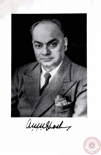

amushod

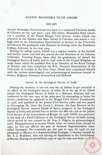# AUSTIN MANINDRA NATH GHOSH

### 1902-1961

AUSTIN MANINDRA NATH GHOSH was born in a renowned Christian family of Calcutta on the 14th June, 1902. His father, Manmatha Nath Ghosh, was a member of the Senior Bengal Civil Service. Austin Ghosh was educated in the Mission and Hare School in Calcutta, and scored a very high rank in the Intermediate Examination in Science at the University of Calcutta. He graduated with Honours in Geology from the Presidency College, Calcutta, in the year 1924.

During his college career, Ghosh was a regular member of the football and hockey teams, and had also joined the 2nd Battalion of the Calcutta University Training Corps. Soon after his graduation, he joined the Geological Survey of India, and in 1928 went to the United Kingdom on study leave, where he qualified first as an Associate of the Royal College of Science, and then completed the B.Sc. Honours Examination of the University of London in the First Class. Ghosh later acquainted himself with the various mineralogical and palaeontological museums located in France, Belgium, Germany, Switzerland and Holland.

## *Career in the Geological Survey of India*

During the twenties, it was not easy for an Indian to get recruited as an officer in the Geological Survey of India. So at the age of 22, Ghosh joined the Geological Survey of India as a Museum Assistant and was confirmed in the year 1925 in the same post. In attempting to better his service conditions he appeared at the Bengal Civil Service Examination in 1926, and qualified in the Junior Civil Service cadre and was posted to Chittagong. Dr. (later Sir) Lewis L. Fermor, the then Director of the Geological Survey, assured Ghosh of better prospects in the Geological Survey of India and advised him to decline the offer of a job in the Junior Civil Service of the Government of Bengal. In 1928, Ghosh was promoted to the rank of a Field Collector in the Geological Survey of India during which period he was trained by Dr. Guy E. Pilgrim in palaeontological work. Disappointment overcame Ghosh when on return from abroad in 1930, he was not offered the post of Assistant Superintendent (later called Geologist). He eventually got this post in 1935. In 1946, he was promoted to officiate as a Superintending Geologist, a vacancy created by Mr. E. J. Bradshaw, who was leaving on deputation to the Government of Burma. During the period from 1950 to 1952 he took over from Dr. Rake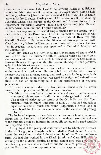# 182 *Biographical Memoirs*

Ghosh as the Chairman of the Coal Mines Stowing Board in addition to performing his duties as a Superintending Geologist which post he held until 1955, when he joined the newly created Oil & Natural Gas Directorate as its first Director. During most of his service as a Superintending Geologist, Ghosh held charges of the Central and Eastern circles of the Department comprising Madhya Pradesh and Orissa, and West Bengal, Sikkim, Assam, Manipur and Tripura respectively.

Ghosh was responsible in formulating a scheme for the setting up of the Oil & Natural Gas Directorate of the Government of India which was set up in 1955 under the then Ministry of Natural Resources and Scientific Research. He became the Director of this organisation with effect from 1955. When the Directorate was converted later into a Commission in August, 1956, Ghosh was appointed a Technical Member of the Commission.

Ghosh also acted as Oil Adviser to the Government of India which post he held until his untimely death at Calcutta where he came on a short official visit from Dehra Dun. He breathed his last at the Seth Sukhlal Karnani Memorial Hospital on the afternoon of Monday, the 2nd January, 1961. He left his widow and three sons.

Ghosh was kind and affectionate, severe when the occasion needed **but**  at the same time considerate. He was a brilliant scholar with unusual memory. He had an untiring energy and used to work for long hours both in the office and at home. He was respected by seniors and subordinates alike. He had an unflinching faith in the performance of younger generation.

The Government of India in a Notification issued after his death recorded the appreciation of Ghosh's services thus: -

"On his passing away India has lost an able and trusted public servant who served his country with distinction in the geological field. . . .

The credit of achieving the results of the Oil & Natural Gas Commission's work in record time goes to him. . . . He had the gift of organization and of quick and sound judgement. He will long be remembered for his meritorious services to the cause of oil geology in India".

The Soviet oil experts, in a condolence message to his family, expressed sorrow and paid respects to Shri Ghosh as 'an eminent geologist and one of the founders of the oil industry in the public sector, and a good sensible and respected friend'.

The highlight of the geological work carried out by Ghosh was his work in the Salt Range, West Punjab; in Bihar, Madhya Pradesh and Assam. In Assam, he worked out in detail the stratigraphy of the Cherra sandstone series. He had also worked in the Khasi, Jaintia and Garo H' working on the Mylliem granite, he found certain cordierite rine bearing granites, as also worked out the detailed petro granite. For a time he was responsible for the coal exploration work in the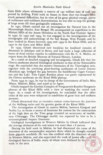## *Austin Manindra Nath Ghosh* **183**

Garo Hills where ultimately a reserve of 140 million tons of coal was proved by drilling. Field work in Assam in those days was fraught with much personal difficulties, but in view of his great physical energy, power of endurance and stubborn determination, he was able to map the geology of large areas till then geologically unknown.

In 1931, Ghosh carried out an investigation for Natural Gas in the Mymensingh district, East Bengal. He accompanied an expedition to the Mishmi Hills of the Assam Himalaya in the North East Frontier Agency in 1932. In 1932 and 1934, he was engaged in the investigations of the stratigraphy and palaeontology of the Salt Range, West Punjab, and he later worked in Assam between 1935 and 1939 in the Khasi Hills, and in 1950 in the Garo and Mikir Hills.

In 1932, Ghosh discovered new localities for fossilized remains of dinosaurs in Jabalpur and in Rewa, and had made a large collection of bones of these extinct reptiles in collaboration with Dr. C. A. Matley, an expert from the British Museum of Natural History, London.

As a result of detailed mapping and investigation, Ghosh felt that the Cherra sandstone showed lithological similarity to that of the Nummulitic stage. He concluded that the massive limestones of the Therriaghat area, together with the overlying plant-bearing sandstones of Lower Eocene (Ranikot) age, bridged the gap between the fossiliferous Upper Cretaceous and the Laki. This Upper Ranikot phase was partly represented by the Cherra sandstone on the Khasi Hills plateau.

From 1943 to 1945, he was in charge of the Government of India Mica Mines, Mahesri, Bihar, and acted as its Agent.

Ghosh mapped the Gneissic Complex of Nongmaweit-Rambri-Nongstoin plateau of the Khasi Hills with a view to studying the varied rock types. As a result of his investigations, he concluded that the older rocks of the area were subjected to conditions of great heat and uniform pressure.

Ghosh discovered that an intrusive contact exists between the junction of the Shillong series and the granite gneiss of the Khasi Hills.

The investigation of Ghosh in eastern Sikkim, between Gangtok and Nathu La, to locate a source of limestone for cement for the construction of the high dam on the Tista gorge revealed an occurrence of marble, near Chhanggu. The Chhanggu marble was reported by him to be a metamorphosed impure limestone.

Geological investigations in Western Sikkim by Ghosh indicated that the average thickness of the coal seams was more than 1.8 metres.

During his field work in Sikkim, he had discovered the cause of the inversion of the metamorphic sequence there which he thought resulted from gigantic overfolds. He was also credited with the discovery of coal in Western Sikkim, and also supervised the work of junior officers of the Geological Survey of India, many of whom were initiated by him field work in the area.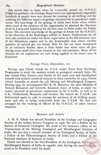# **<sup>I</sup>84** *Biographical Memoirs*

His merits shot to fame when he eventually joined the O.N.G.C. Under his guidance, the Geology Department was appropriately organised; hundreds of people were sent abroad for training in oil drilling and for studying the different aspects of geology encountered in petroleum exploration. His knowledge of the geology of India bore fruits when within three years of the existence of the organisation he planned the discovery of oil in Lunej and Ankleswar for the first time in India under the Public Sector. His extensive knowledge of the geology of Assam led the O.N.G.C. to the discovery of the Rudrasagar oilfield in Assam. Explorations for oil were also carried out under his direct supervision in the sub-montane tract of the Himalayan region and in the Jwalamukhi area where sizeable quantity of natural gas was found. Had his life not been terminated by an untimely demise, there is little doubt that many more oil producing areas could have been located in this sub-continent. Many of his schemes for oil exploration are now being applied to the desert area of Rajasthan.

# *Foreign Visits, Deputation, etc.*

During 1952 Ghosh visited the U.S.A. under Point Four Exchange Programme to study the modern trends in geological research there. He also visited Oslo, Geneva and Zurich in the same year and familiarised himself with modern trends of research in those countries. In 1953, Ghosh visited Australia to attend the 5th Mining and Metallurgical Congress. During 1955, he accompanied Shri K. D. Malaviya, the then Minister of Natural Resources and Scientific Research, Govt. of India, to study the *modus operandi* of petroleum exploration in the U.S.S.R., as well as in U.K., Netherlands, Rumania and Sweden. He visited the U.S.S.R. and Switzerland again in 1960 to arrange for purchase of oil drilling equipment and also to bring technicians from the U.S.S.R. He had also arranged for the training of officers of the O.N.G.C. in other western countries.

## *Honours and Awards*

**A.** M. N. Ghosh was elected President of the Geology and Geography Section of the Indian Science Congress in 1956. He was a Fellow of the Society of Economic Geologists. He acted as the honorary editor of the Transactions of the Mining, Geological and Metallurgical Institute of India. He was also a council member of the Geological Society of India, a Fellow of the Palaeontological Society of India and a Fell National Institute of Sciences of India.

Ghosh was elected as the Vice-President of the Geological, Metallurgical Society of India in 1959-60, and, during the yea acted as its President until his death.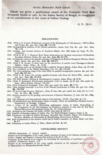## Austin Manindra Nath Ghosh

Ghosh was given a posthumous award of the Pramatha Nath Bose Memorial Medal in 1961, by the Asiatic Society of Bengal, in recognition of his contributions to the cause of Indian Geology.

### G. N. DUTT

#### BIBLIOGRAPHY

- 1934. (With J. B. AUDEN) Preliminary account of the Earthquake of 15th January, 1934 in Bihar and Nepal. Rec. geol. Suru. India, **68,** 121-250.
- 1940. Stratigraphical position of the Cherra sandstone, Assam. Prof. Pap. Rec. geol. Surv. India, **75,** 1-18.
- 1951. Geology and tectonic features of Southern Sikkim. Proc. 38th Indian Sci. Congr. Pt. III, (Abstract).
- 1952. (With G. H. S. **V.** PRASADA RAO) Some observations on chromite occurrences of Naushahi, Keonjhar District, Orissa. Rec. geol. Surv. India, **82,** 281-299.
- 1952. Preliminary notes in the gneissic complex of Nongmaweit-Rambri-Nongstoin Plateau, Khasi
- Hills, Assam. Rec. geol. Surv. India, **82,** 308-314.<br>1952. (With J. B. AUDEN) A short note on the occurrence of marble near Chhanggu in Eastern Sikkim: *Indian Miner*., **6,** 15-20.
- 1952. Preliminary notes on the Rangit Valley coalfield, Western Sikhim. Indian Miner., **6,** 131-140.
- 1952. New Coalfield on the Sikkim Himalaya. Curr. Sci., **21,** 179-180.
- 1954. The Tura sandstone stage of the Garo Hills, its possible stratigraphic position. Rec. geol. Surv. India, 83, 423-444.
- 1954. (With A. K. SAHA) On certain sapphire-bearing rocks from the Khasi Hills, Assam. Rec. geol. Surv. India, **83,** 445-458. 1954. The Fifth Empire Mining & Metallurgical Congress. Indian Miner., **8,** 18-36.
- 
- 1954. (With T. BANERJEE) Post-Jurassic diastrophic cycles in Assam. Q. Jl. geol. Min. metall. Soc. India, (Silver Jubilee volume), 159-163.
- 1954. Field training for Geologists. Trans. Min. geol. metall. Inst. India., 49, 71-72.
- 1954. Glass making materials: A review of the Mineral production of India. Rec. geol. Surv. India, **80,** 296-308.
- 1964. Sir Lewis Leigh Fermor: Obituary. (Notes & News Min. geol. metall. Inst. India, No. 9, 11-13. (Sci. @ Cult.. **20,** 24-28).
- 1956. Recent advances in the geology and structure of Eastern Himalaya. *J. scient. Ind. Res.*, 15A, 17-18.
- 1958. The National and International aspects of oil industry: ONGC, News letter, 1, 5-12.
- 1958. Oil Exploration and Sedimentary basins of India-Their oil possibilities. Extension Lectures. Department of Geology, Udaipur.
- 1958. A review of the possible Oil-bearing sedimentary basins of India; Proceedings of the Symposium on the Development of Petroleum research of Asia and the Far East, Mineral Resources Devolopment Series No. 10. United Nations.
- 
- 1959. Musings on the Cambay Oil strike: ONGC, News letter, 2, 108-112.<br>1959. Possible oil-bearing regions of India: Proc. 5th World Petroleum Congress, Section I. 56.
- 1960. Petroleum-its place in India's Economy. Republic Day Number Yojana. The Publications Division, Ministry of Information & Broadcasting, Government of India.
- 1960. Role of petroleum in the modern world and in India's economy- $\mathcal{J}$ . Mines, Metals and Fuels, **8,** 4-7.
- 1960. Petroleum in India's Plans. J. Mines, Metals and Fuels. 9, 6-8.

#### UNPUBLISHED REPORTS

1939-40-Summaries of Annual reports.

Report of an investigation of the water supply resources of some of the Stations situated on the Ituari-Nagbir and Nagbir's Chanda Fort section of the B. N. Rly.

Summary of the Report of an enquiry for increasing the production of coal from coalfield. Chindwara district, C.P.

Report of an investigation of the water supply resources at the proposed ae at Sijasurichua on Rampurhat-Dumka Road.